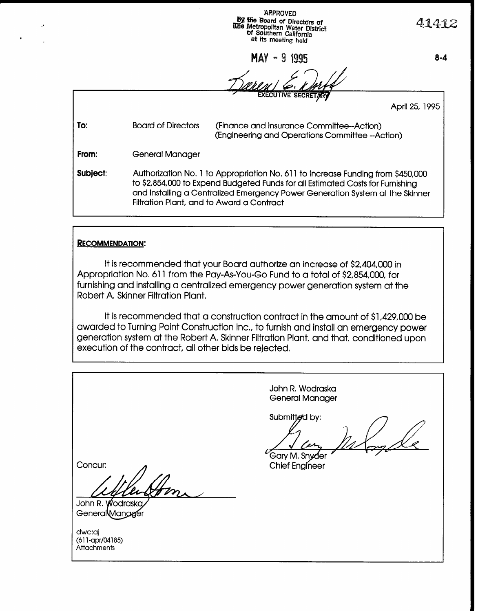**APPROVED Py the Board of Directors of**<br>Whe Metropolitan Water District of Southern California at its meeting held

 $MAX - 91995$ 

سم ام

 $\sqrt{2}$ 

 $8 - 4$ 

41412

|          |                                                                                                                                                                                                                                                                                                 | <b>EXECUTIVE SECRETARY</b>                                                                  |  |  |  |
|----------|-------------------------------------------------------------------------------------------------------------------------------------------------------------------------------------------------------------------------------------------------------------------------------------------------|---------------------------------------------------------------------------------------------|--|--|--|
|          |                                                                                                                                                                                                                                                                                                 | April 25, 1995                                                                              |  |  |  |
| To:      | <b>Board of Directors</b>                                                                                                                                                                                                                                                                       | (Finance and Insurance Committee--Action)<br>(Engineering and Operations Committee -Action) |  |  |  |
| From:    | General Manager                                                                                                                                                                                                                                                                                 |                                                                                             |  |  |  |
| Subject: | Authorization No. 1 to Appropriation No. 611 to Increase Funding from \$450,000<br>to \$2,854,000 to Expend Budgeted Funds for all Estimated Costs for Furnishing<br>and installing a Centralized Emergency Power Generation System at the Skinner<br>Filtration Plant, and to Award a Contract |                                                                                             |  |  |  |

<sup>1</sup>

#### **RECOMMENDATION:**

It is recommended that your Board authorize an increase of \$2,404,000 in Appropriation No, 611 from the Pay-As-You-Go Fund to a total of \$2,854,000, for furnishing and installing a centralized emergency power generation system at the Robert A, Skinner Filtration Plant.

It is recommended that a construction contract in the amount of \$1,429,000 be awarded to Turning Point Construction Inc, to furnish and install an emergency power generation system at the Robert A, Skinner Filtration Plant, and that, conditioned upon execution of the contract, all other bids be rejected.

John R. Wodraska General Manager Submitted by: Garv M. Snvðer Concur: **Chief Engineer** John R. Wodraska GeneralMangger dwc:aj awaaj (o H-apr/u4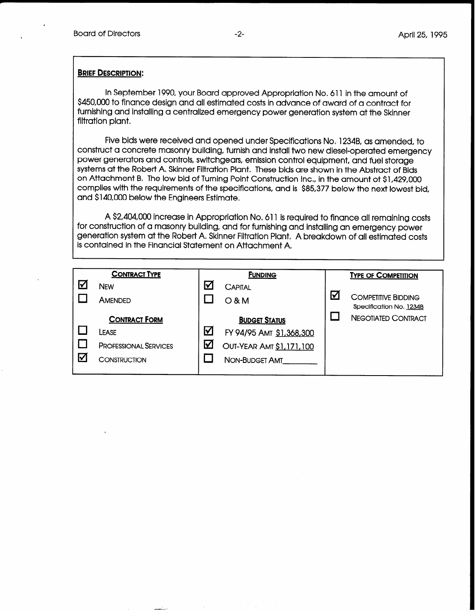.

#### **BRIEF DESCRIPTION:**

In September 1990, your Board approved Appropriation No. 611 in the amount of \$450,000 to finance design and all estimated costs in advance of award of a contract for furnishing and installing a centralized emergency power generation system at the Skinner filtration plant.

Five bids were received and opened under Specifications No. 1234B, as amended, to construct a concrete masonry building, furnish and install two new diesel-operated emergency power generators and controls, switchgears, emission control equipment, and fuel storage systems at the Robert A, Skinner Filtration Plant. These bids are shown in the Abstract of Bids on Attachment B. The low bid of Turning Point Construction Inc,, in the amount ot \$1,429,000 complies with the requirements of the specifications, and is \$85,377 below the next lowest bid, and \$140,000 below the Engineers Estimate.

A \$2,404,000 increase in Appropriation No, 611 is required to finance all remaining costs for construction of a masonry building, and for furnishing and installing an emergency power generation system at the Robert A. Skinner Filtration Plant. A breakdown of all estimated costs is contained in the Financial Statement on Attachment A,

| <b>CONTRACT TYPE</b> |                                                                                      | <b>FUNDING</b>                        |                                                                                                       |               | <b>TYPE OF COMPETITION</b>                            |  |  |
|----------------------|--------------------------------------------------------------------------------------|---------------------------------------|-------------------------------------------------------------------------------------------------------|---------------|-------------------------------------------------------|--|--|
| $\blacktriangledown$ | <b>NEW</b><br><b>AMENDED</b>                                                         | $\boldsymbol{\nabla}$                 | CAPITAL<br>$O$ & M                                                                                    | $\bm{\nabla}$ | <b>COMPETITIVE BIDDING</b><br>Specification No. 1234B |  |  |
| Ⅳ                    | <b>CONTRACT FORM</b><br>LEASE<br><b>PROFESSIONAL SERVICES</b><br><b>CONSTRUCTION</b> | $\blacktriangledown$<br>$\bm{\nabla}$ | <b>BUDGET STATUS</b><br>FY 94/95 AMT \$1,368,300<br>OUT-YEAR AMT \$1,171,100<br><b>NON-BUDGET AMT</b> |               | <b>NEGOTIATED CONTRACT</b>                            |  |  |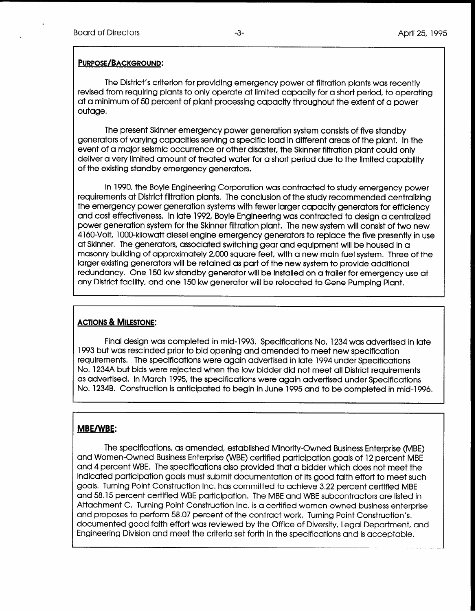.

#### PURPOSE/BACKGROUND:

The District's criterion for providing emergency power at filtration plants was recently revised from requiring plants to only operate at limited capacity for a short period, to operating at a minimum of 50 percent of plant processing capacity throughout the extent of a power outage.

The present Skinner emergency power generation system consists of five standby generators of varying capacities serving a specific load in different areas of the plant. In the event of a major seismic occurrence or other disaster, the Skinner filtration plant could only deliver a very limited amount of treated water for a short period due to the limited capability of the existing standby emergency generators.

In 1990, the Boyle Engineering Corporation was contracted to study emergency power requirements at District filtration plants, The conclusion of the study recommended centralizing the emergency power generation systems with fewer larger capacity generators for efficiency and cost effectiveness, In late 1992, Boyle Engineering was contracted to design a centralized power generation system for the Skinner filtration plant. The new system will consist of two new 4160-Volt, 1 OOO-kilowatt diesel engine emergency generators to replace the five presently in use at Skinner, The generators, associated switching gear and equipment will be housed in a masonry building of approximately 2,000 square feet, with a new main fuel system, Three of the larger existing generators will be retained as part of the new system to provide additional redundancy. One 150 kw standby generator will be installed on a trailer for emergency use at any District facility, and one 150 kw generator will be relocated to Gene Pumping Plant.

## ACTIONS & MILESTONE:

Final design was completed in mid-l 993. Specifications No. 1234 was advertised in late 1993 but was rescinded prior to bid opening and amended to meet new specification requirements. The specifications were again advertised in late 1994 under Specifications No. 1234A but bids were rejected when the low bidder did not meet all District requirements as advertised. In March 1995, the specifications were again advertised under Specifications No. 1234B. Construction is anticipated to begin in June 1995 and to be completed in mid-1996.

## MBE/WBE:

The specifications, as amended, established Minority-Owned Business Enterprise (MBE) and Women-Owned Business Enterprise (WBE) certified participation goals of 12 percent MBE and 4 percent WBE. The specifications also provided that a bidder which does not meet the indicated participation goals must submit documentation of its good faith effort to meet such goals. Turning Point Construction Inc. has committed to achieve 3.22 percent certified MBE and 58,15 percent certified WBE participation, The MBE and WBE subcontractors are listed in Attachment C. Turning Point Construction Inc. is a certified women-owned business enterprise and proposes to perform 58,07 percent of the contract work, Turning Point Construction's, documented good faith effort was reviewed by the Office of Diversity, Legal Department, and Engineering Division and meet the criteria set forth in the specifications and is acceptable,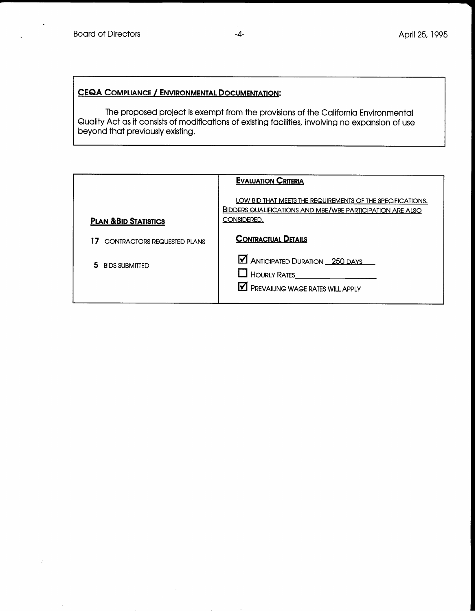# CEQA COMPLIANCE / ENVIRONMENTAL DOCUMENTATION:

The proposed project is exempt from the provisions of the California Environmental Quality Act as it consists of modifications of existing facilities, involving no expansion of use beyond that previously existing,

|                                          | <b>EVALUATION CRITERIA</b>                                                                                                                    |
|------------------------------------------|-----------------------------------------------------------------------------------------------------------------------------------------------|
| <b>PLAN &amp; BID STATISTICS</b>         | LOW BID THAT MEETS THE REQUIREMENTS OF THE SPECIFICATIONS.<br><b>BIDDERS QUALIFICATIONS AND MBE/WBE PARTICIPATION ARE ALSO</b><br>CONSIDERED. |
| 17<br><b>CONTRACTORS REQUESTED PLANS</b> | <b>CONTRACTUAL DETAILS</b>                                                                                                                    |
| 5.<br><b>BIDS SUBMITTED</b>              | <b>M</b> ANTICIPATED DURATION _ 250 DAYS<br>HOURLY RATES_<br>PREVAILING WAGE RATES WILL APPLY                                                 |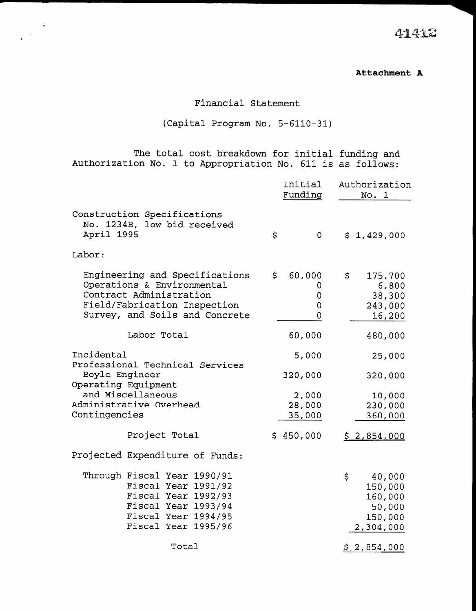. . 4-l.  $\mathcal{A}$ ji ing the contract of the contract of the contract of the contract of the contract of the contract of the contract of the contract of the contract of the contract of the contract of the contract of the contract of the contra

#### Attachment A

# Financial Statement

# (Capital Program No. 5-6110-31)

The total cost breakdown for initial funding and Authorization No. 1 to Appropriation No. 611 is as follows:

.

|                                                                                                                                                           |                                                                                                                                                |     | Initial<br>Funding         |                    | Authorization<br>No. 1                                         |
|-----------------------------------------------------------------------------------------------------------------------------------------------------------|------------------------------------------------------------------------------------------------------------------------------------------------|-----|----------------------------|--------------------|----------------------------------------------------------------|
| Construction Specifications<br>No. 1234B, low bid received<br>April 1995                                                                                  |                                                                                                                                                | \$  | $\mathbf{O}$               |                    | \$1,429,000                                                    |
| Labor:                                                                                                                                                    |                                                                                                                                                |     |                            |                    |                                                                |
| Engineering and Specifications<br>Operations & Environmental<br>Contract Administration<br>Field/Fabrication Inspection<br>Survey, and Soils and Concrete |                                                                                                                                                | \$. | 60,000<br>0<br>0<br>0<br>0 | \$.                | 175,700<br>6,800<br>38,300<br>243,000<br>16,200                |
|                                                                                                                                                           | Labor Total                                                                                                                                    |     | 60,000                     |                    | 480,000                                                        |
| Incidental<br>Professional Technical Services<br>Boyle Engineer<br>Operating Equipment<br>and Miscellaneous<br>Administrative Overhead<br>Contingencies   |                                                                                                                                                |     | 5,000                      |                    | 25,000                                                         |
|                                                                                                                                                           |                                                                                                                                                |     | 320,000                    |                    | 320,000                                                        |
|                                                                                                                                                           |                                                                                                                                                |     | 2,000<br>28,000<br>35,000  |                    | 10,000<br>230,000<br>360,000                                   |
|                                                                                                                                                           | Project Total                                                                                                                                  |     | \$450,000                  |                    | \$2,854,000                                                    |
|                                                                                                                                                           | Projected Expenditure of Funds:                                                                                                                |     |                            |                    |                                                                |
|                                                                                                                                                           | Through Fiscal Year 1990/91<br>Fiscal Year 1991/92<br>Fiscal Year 1992/93<br>Fiscal Year 1993/94<br>Fiscal Year 1994/95<br>Fiscal Year 1995/96 |     |                            | $\dot{\mathbf{S}}$ | 40,000<br>150,000<br>160,000<br>50,000<br>150,000<br>2,304,000 |
| Total                                                                                                                                                     |                                                                                                                                                |     |                            |                    | \$2,854,000                                                    |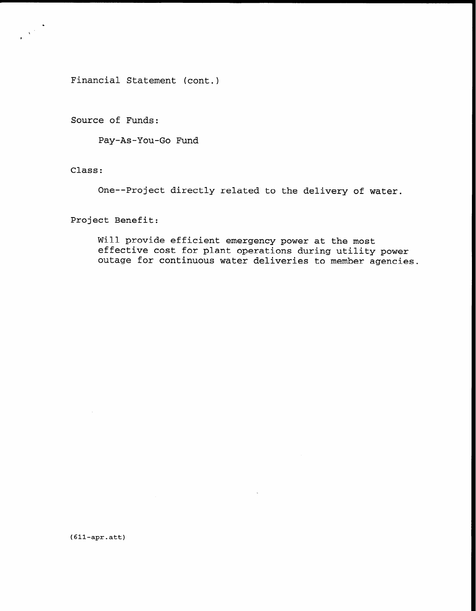Financial Statement (cont.)

Source of Funds:

Pay-As-You-Go Fund

Class:

 $\frac{1}{\sqrt{2\pi}}\sum_{i=1}^{\infty}\frac{1}{i} \sum_{i=1}^{\infty}\frac{1}{i} \sum_{i=1}^{\infty}\frac{1}{i} \sum_{i=1}^{\infty}\frac{1}{i} \sum_{i=1}^{\infty}\frac{1}{i} \sum_{i=1}^{\infty}\frac{1}{i} \sum_{i=1}^{\infty}\frac{1}{i} \sum_{i=1}^{\infty}\frac{1}{i} \sum_{i=1}^{\infty}\frac{1}{i} \sum_{i=1}^{\infty}\frac{1}{i} \sum_{i=1}^{\infty}\frac{1}{i} \sum_{i=1}^{\in$ 

One-- Project directly related to the delivery of water.

Project Benefit:

Will provide efficient emergency power at the most effective cost for plant operations during utility power outage for continuous water deliveries to member agencies.

(611-apr.att)